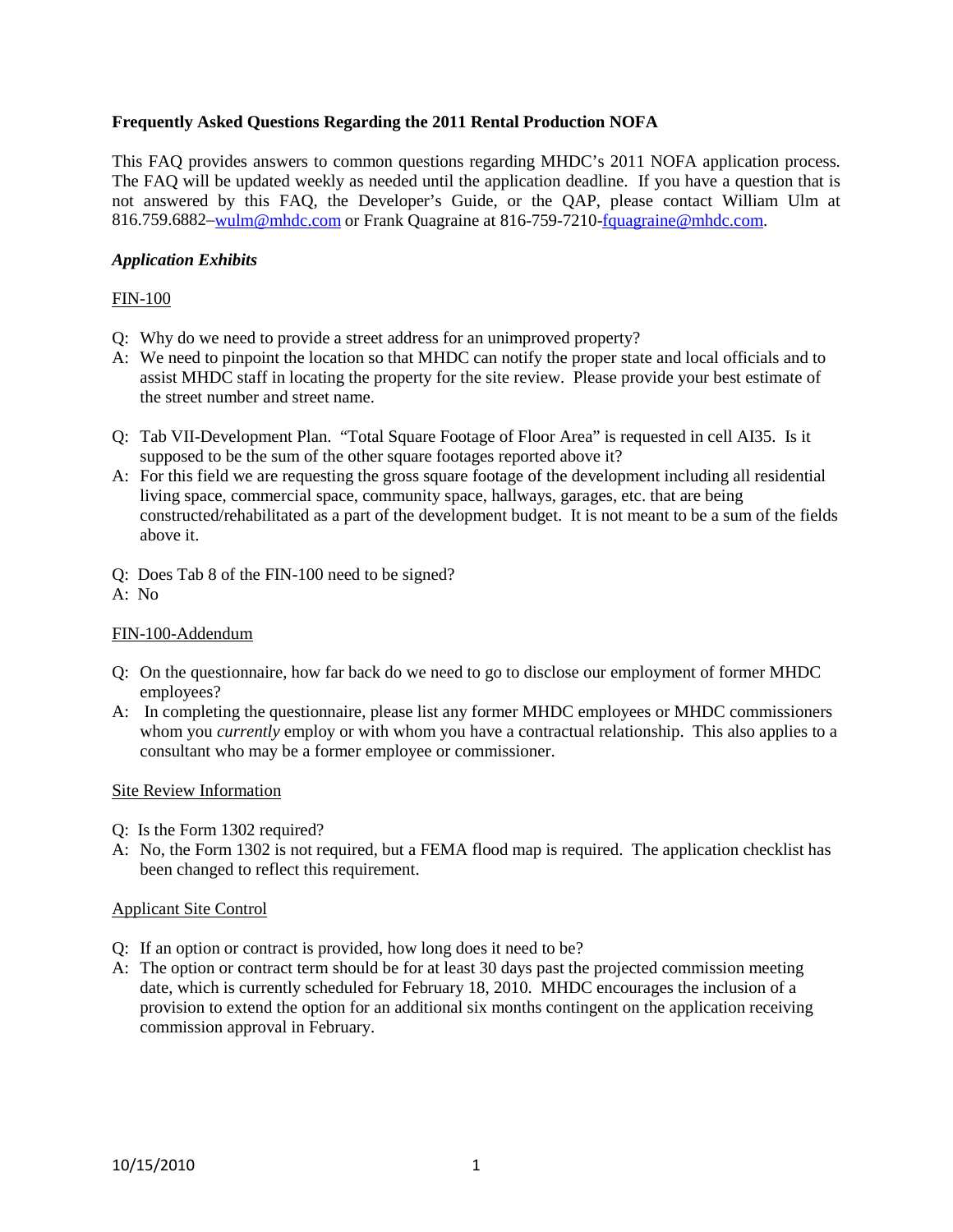## **Frequently Asked Questions Regarding the 2011 Rental Production NOFA**

This FAQ provides answers to common questions regarding MHDC's 2011 NOFA application process. The FAQ will be updated weekly as needed until the application deadline. If you have a question that is not answered by this FAQ, the Developer's Guide, or the QAP, please contact William Ulm at 816.759.6882[–wulm@mhdc.com](mailto:wulm@mhdc.com) or Frank Quagraine at 816-759-7210[-fquagraine@mhdc.com.](mailto:fquagraine@mhdc.com)

## *Application Exhibits*

#### FIN-100

- Q: Why do we need to provide a street address for an unimproved property?
- A: We need to pinpoint the location so that MHDC can notify the proper state and local officials and to assist MHDC staff in locating the property for the site review. Please provide your best estimate of the street number and street name.
- Q: Tab VII-Development Plan. "Total Square Footage of Floor Area" is requested in cell AI35. Is it supposed to be the sum of the other square footages reported above it?
- A: For this field we are requesting the gross square footage of the development including all residential living space, commercial space, community space, hallways, garages, etc. that are being constructed/rehabilitated as a part of the development budget. It is not meant to be a sum of the fields above it.

Q: Does Tab 8 of the FIN-100 need to be signed?

A: No

#### FIN-100-Addendum

- Q: On the questionnaire, how far back do we need to go to disclose our employment of former MHDC employees?
- A: In completing the questionnaire, please list any former MHDC employees or MHDC commissioners whom you *currently* employ or with whom you have a contractual relationship. This also applies to a consultant who may be a former employee or commissioner.

#### Site Review Information

- Q: Is the Form 1302 required?
- A: No, the Form 1302 is not required, but a FEMA flood map is required. The application checklist has been changed to reflect this requirement.

#### Applicant Site Control

- Q: If an option or contract is provided, how long does it need to be?
- A: The option or contract term should be for at least 30 days past the projected commission meeting date, which is currently scheduled for February 18, 2010. MHDC encourages the inclusion of a provision to extend the option for an additional six months contingent on the application receiving commission approval in February.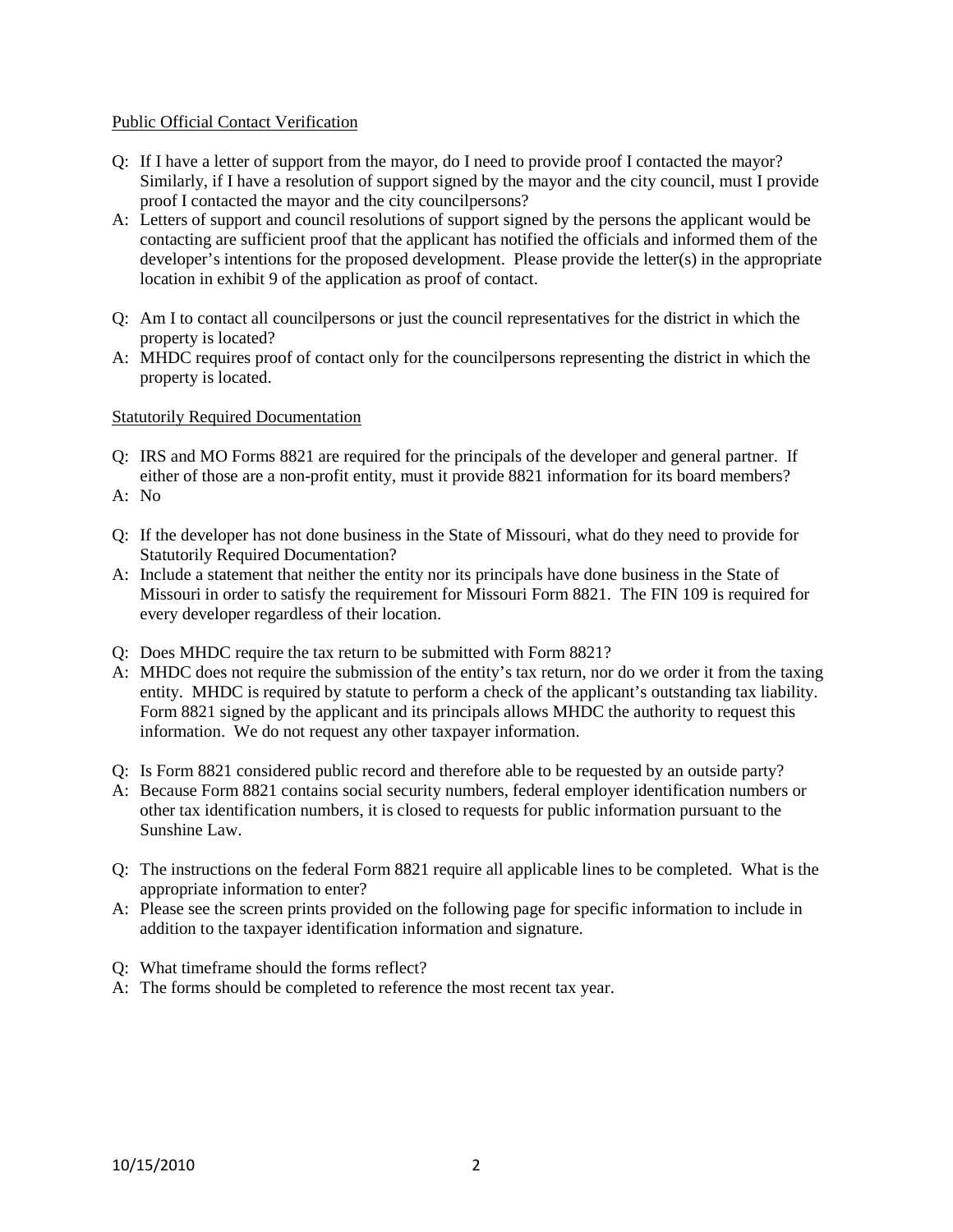## Public Official Contact Verification

- Q: If I have a letter of support from the mayor, do I need to provide proof I contacted the mayor? Similarly, if I have a resolution of support signed by the mayor and the city council, must I provide proof I contacted the mayor and the city councilpersons?
- A: Letters of support and council resolutions of support signed by the persons the applicant would be contacting are sufficient proof that the applicant has notified the officials and informed them of the developer's intentions for the proposed development. Please provide the letter(s) in the appropriate location in exhibit 9 of the application as proof of contact.
- Q: Am I to contact all councilpersons or just the council representatives for the district in which the property is located?
- A: MHDC requires proof of contact only for the councilpersons representing the district in which the property is located.

#### Statutorily Required Documentation

- Q: IRS and MO Forms 8821 are required for the principals of the developer and general partner. If either of those are a non-profit entity, must it provide 8821 information for its board members?
- A: No
- Q: If the developer has not done business in the State of Missouri, what do they need to provide for Statutorily Required Documentation?
- A: Include a statement that neither the entity nor its principals have done business in the State of Missouri in order to satisfy the requirement for Missouri Form 8821. The FIN 109 is required for every developer regardless of their location.
- Q: Does MHDC require the tax return to be submitted with Form 8821?
- A: MHDC does not require the submission of the entity's tax return, nor do we order it from the taxing entity. MHDC is required by statute to perform a check of the applicant's outstanding tax liability. Form 8821 signed by the applicant and its principals allows MHDC the authority to request this information. We do not request any other taxpayer information.
- Q: Is Form 8821 considered public record and therefore able to be requested by an outside party?
- A: Because Form 8821 contains social security numbers, federal employer identification numbers or other tax identification numbers, it is closed to requests for public information pursuant to the Sunshine Law.
- Q: The instructions on the federal Form 8821 require all applicable lines to be completed. What is the appropriate information to enter?
- A: Please see the screen prints provided on the following page for specific information to include in addition to the taxpayer identification information and signature.
- Q: What timeframe should the forms reflect?
- A: The forms should be completed to reference the most recent tax year.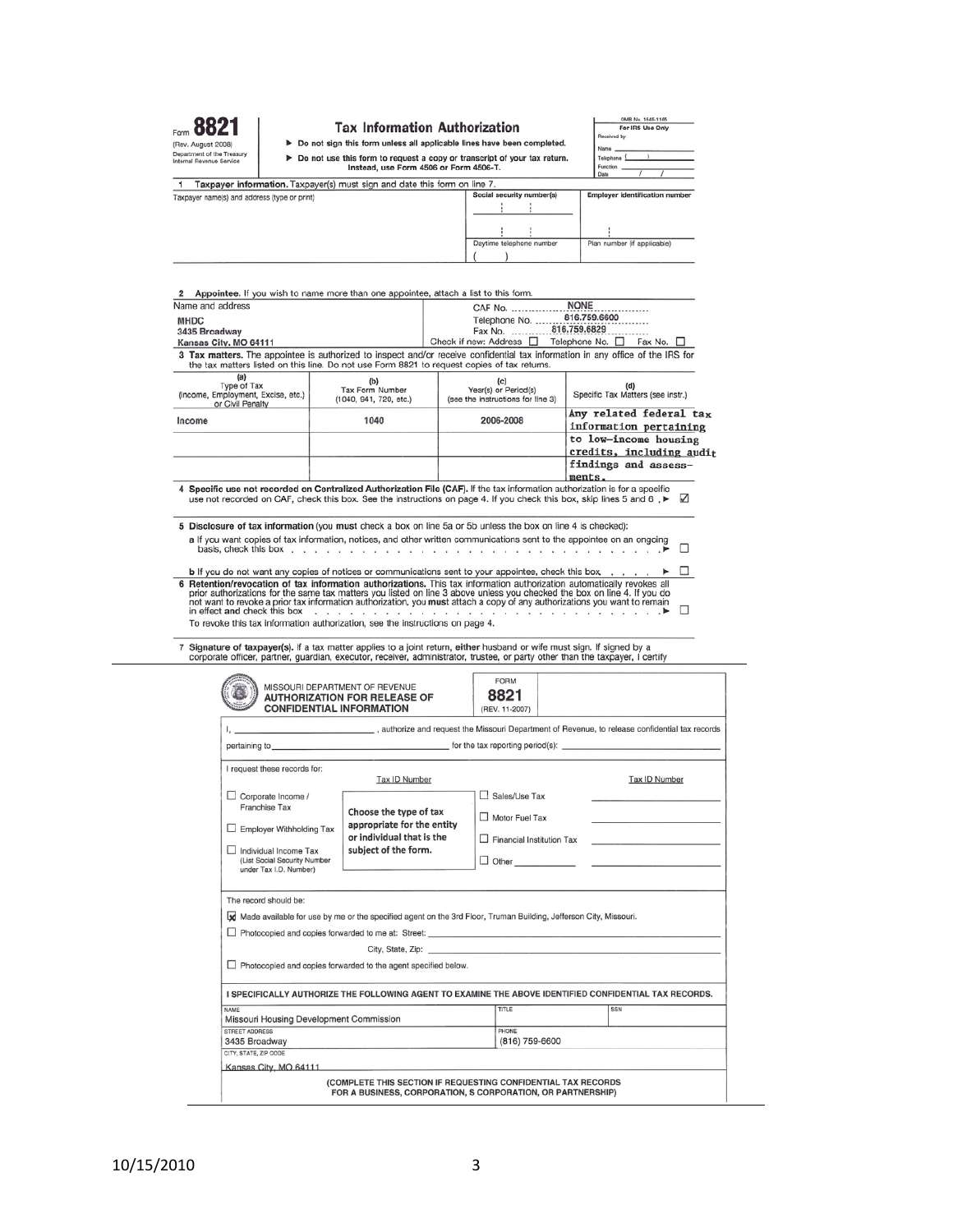| Form                                                   |
|--------------------------------------------------------|
| (Rev. August 2008)                                     |
| Department of the Treasury<br>Internal Revenue Service |

ury

#### **Tax Information Authorization**

> Do not sign this form unless all applicable lines have been completed. ► Do not use this form to request a copy or transcript of your tax return.<br>Instead, use Form 4506 or Form 4506-T.

|              | OMB No. 1545-1165<br>For IRS Use Only |  |
|--------------|---------------------------------------|--|
| Received by: |                                       |  |
|              |                                       |  |
| Name _       |                                       |  |
| Telephone    |                                       |  |

Plan number (if applicable)

telephone number

Daytime

|                                              |                                                                           |                           |  | Date |                                      |
|----------------------------------------------|---------------------------------------------------------------------------|---------------------------|--|------|--------------------------------------|
|                                              | Taxpayer information. Taxpayer(s) must sign and date this form on line 7. |                           |  |      |                                      |
| Taxpayer name(s) and address (type or print) |                                                                           | Social security number(s) |  |      | <b>Employer identification numbe</b> |
|                                              |                                                                           |                           |  |      |                                      |
|                                              |                                                                           |                           |  |      |                                      |
|                                              |                                                                           |                           |  |      |                                      |

| 2 Appointee. If you wish to name more than one appointee, attach a list to this form. |                                                  |                                                                                                                                                                                                                                                   |                                                   |  |  |
|---------------------------------------------------------------------------------------|--------------------------------------------------|---------------------------------------------------------------------------------------------------------------------------------------------------------------------------------------------------------------------------------------------------|---------------------------------------------------|--|--|
| Name and address                                                                      |                                                  | <b>NONE</b><br>CAF No.                                                                                                                                                                                                                            |                                                   |  |  |
| <b>MHDC</b>                                                                           |                                                  | 816.759.6600<br>Telephone No.                                                                                                                                                                                                                     |                                                   |  |  |
| 3435 Broadway                                                                         |                                                  | 816.759.6829<br>Fax No.                                                                                                                                                                                                                           |                                                   |  |  |
| Kansas City, MO 64111                                                                 |                                                  | Check if new: Address $\Box$<br>Telephone No. $\square$<br>Fax No. $\square$                                                                                                                                                                      |                                                   |  |  |
|                                                                                       |                                                  | 3 Tax matters. The appointee is authorized to inspect and/or receive confidential tax information in any office of the IRS for<br>the tax matters listed on this line. Do not use Form 8821 to request copies of tax returns.                     |                                                   |  |  |
| (a)<br>Type of Tax<br>(Income, Employment, Excise, etc.)<br>or Civil Penalty          | (b)<br>Tax Form Number<br>(1040, 941, 720, etc.) | (c)<br>Year(s) or Period(s)<br>(see the instructions for line 3)                                                                                                                                                                                  | (d)<br>Specific Tax Matters (see instr.)          |  |  |
| Income                                                                                | 1040                                             | 2006-2008                                                                                                                                                                                                                                         | Any related federal tax<br>information pertaining |  |  |
|                                                                                       |                                                  |                                                                                                                                                                                                                                                   | to low-income housing                             |  |  |
|                                                                                       |                                                  |                                                                                                                                                                                                                                                   | credits, including audit                          |  |  |
|                                                                                       |                                                  |                                                                                                                                                                                                                                                   | findings and assess-                              |  |  |
|                                                                                       |                                                  |                                                                                                                                                                                                                                                   | ments.                                            |  |  |
|                                                                                       |                                                  | 4 Specific use not recorded on Centralized Authorization File (CAF). If the tax information authorization is for a specific<br>use not recorded on CAF, check this box. See the instructions on page 4. If you check this box, skip lines 5 and 6 | $\sqrt{ }$                                        |  |  |
|                                                                                       |                                                  | 5 Disclosure of tax information (you must check a box on line 5a or 5b unless the box on line 4 is checked):                                                                                                                                      |                                                   |  |  |

a if you want copies of tax information, notices, and other written communications sent to the appointee on an ongoing basis, check this box

**b** If you do not want any copies of notices or communications sent to your appointee, check this box  $\Box$ <br> **6 Retention/revocation of tax information authorizations.** This tax information authorization automatically revo To revoke this tax information authorization, see the instructions on page 4.

7 Signature of taxpayer(s). If a tax matter applies to a joint return, either husband or wife must sign. If signed by a<br>corporate officer, partner, guardian, executor, receiver, administrator, trustee, or party other than

|                                                                                 | <b>CONFIDENTIAL INFORMATION</b>                                                                                                                                                                                                | (REV. 11-2007)                                                           |  |                      |  |
|---------------------------------------------------------------------------------|--------------------------------------------------------------------------------------------------------------------------------------------------------------------------------------------------------------------------------|--------------------------------------------------------------------------|--|----------------------|--|
|                                                                                 | authorize and request the Missouri Department of Revenue, to release confidential tax records,                                                                                                                                 |                                                                          |  |                      |  |
|                                                                                 | pertaining to <b>example 20</b> contract the tax reporting period(s): <u>contract the tax</u> reporting period(s):                                                                                                             |                                                                          |  |                      |  |
| I request these records for:                                                    | Tax ID Number                                                                                                                                                                                                                  |                                                                          |  | <b>Tax ID Number</b> |  |
| $\Box$ Corporate Income /                                                       |                                                                                                                                                                                                                                | Sales/Use Tax                                                            |  |                      |  |
| Franchise Tax                                                                   | Choose the type of tax                                                                                                                                                                                                         | Motor Fuel Tax                                                           |  |                      |  |
| Employer Withholding Tax                                                        | appropriate for the entity                                                                                                                                                                                                     | $\Box$ Financial Institution Tax<br>the finance passed of money the con- |  |                      |  |
|                                                                                 | or individual that is the                                                                                                                                                                                                      |                                                                          |  |                      |  |
| Individual Income Tax<br>(List Social Security Number<br>under Tax I.D. Number) | subject of the form.                                                                                                                                                                                                           |                                                                          |  |                      |  |
|                                                                                 | Made available for use by me or the specified agent on the 3rd Floor, Truman Building, Jefferson City, Missouri.<br>$\Box$ Photocopied and copies forwarded to me at: Street:                                                  |                                                                          |  |                      |  |
|                                                                                 | City, State, Zip: The City of State of The City, State of The City, State of The City, State of The City, State of The City, State of The City, State of The City, State of The City, State of The City, State of The City, St |                                                                          |  |                      |  |
|                                                                                 |                                                                                                                                                                                                                                |                                                                          |  |                      |  |
| $\Box$ Photocopied and copies forwarded to the agent specified below.           |                                                                                                                                                                                                                                |                                                                          |  |                      |  |
|                                                                                 | I SPECIFICALLY AUTHORIZE THE FOLLOWING AGENT TO EXAMINE THE ABOVE IDENTIFIED CONFIDENTIAL TAX RECORDS.                                                                                                                         |                                                                          |  |                      |  |
|                                                                                 |                                                                                                                                                                                                                                | TITLE                                                                    |  | SSN                  |  |
| NAME<br>Missouri Housing Development Commission<br>STREET ADDRESS               |                                                                                                                                                                                                                                | PHONE                                                                    |  |                      |  |
| 3435 Broadway<br>CITY, STATE, ZIP CODE                                          |                                                                                                                                                                                                                                | (816) 759-6600                                                           |  |                      |  |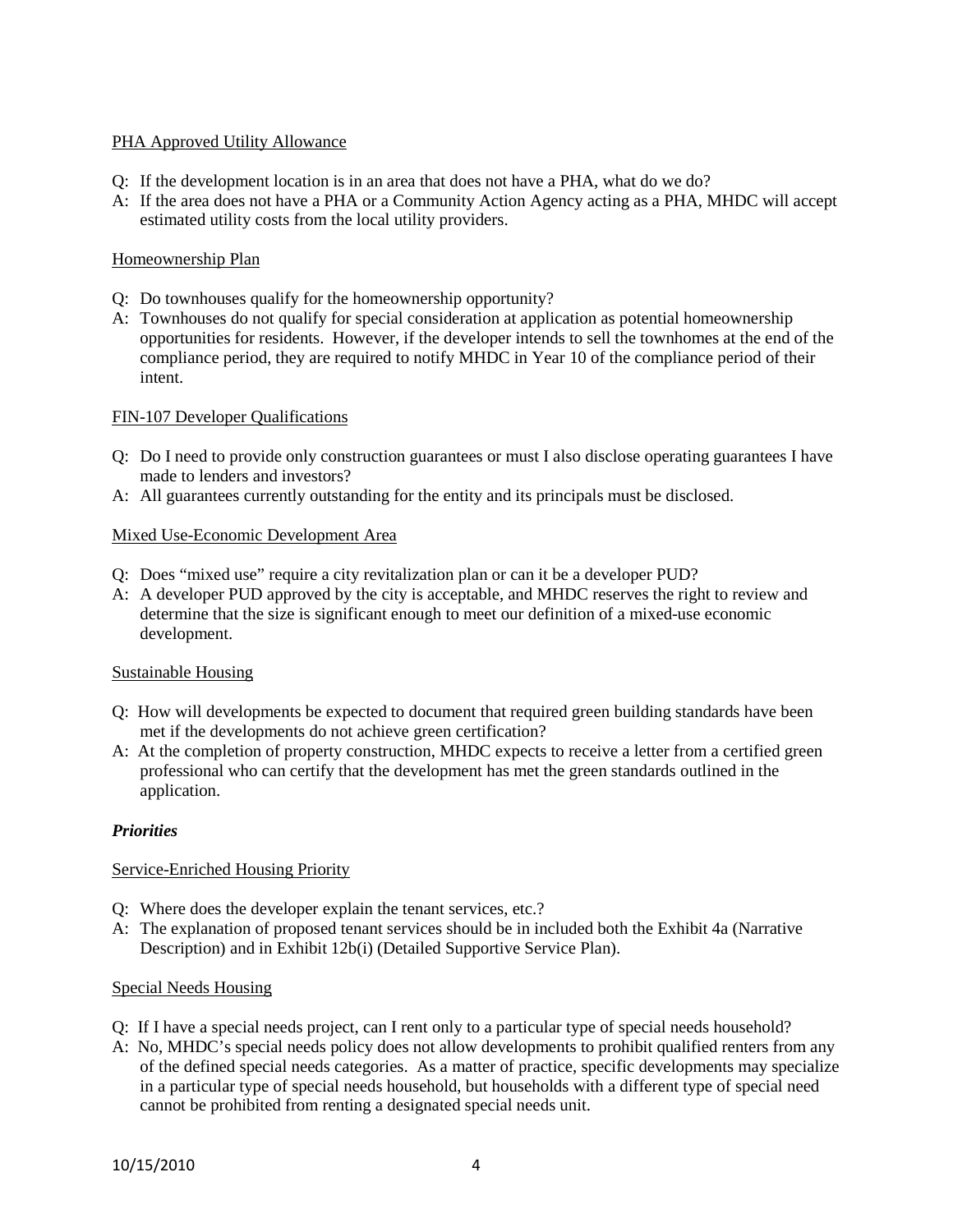# PHA Approved Utility Allowance

- Q: If the development location is in an area that does not have a PHA, what do we do?
- A: If the area does not have a PHA or a Community Action Agency acting as a PHA, MHDC will accept estimated utility costs from the local utility providers.

# Homeownership Plan

- Q: Do townhouses qualify for the homeownership opportunity?
- A: Townhouses do not qualify for special consideration at application as potential homeownership opportunities for residents. However, if the developer intends to sell the townhomes at the end of the compliance period, they are required to notify MHDC in Year 10 of the compliance period of their intent.

# FIN-107 Developer Qualifications

- Q: Do I need to provide only construction guarantees or must I also disclose operating guarantees I have made to lenders and investors?
- A: All guarantees currently outstanding for the entity and its principals must be disclosed.

# Mixed Use-Economic Development Area

- Q: Does "mixed use" require a city revitalization plan or can it be a developer PUD?
- A: A developer PUD approved by the city is acceptable, and MHDC reserves the right to review and determine that the size is significant enough to meet our definition of a mixed-use economic development.

## Sustainable Housing

- Q: How will developments be expected to document that required green building standards have been met if the developments do not achieve green certification?
- A: At the completion of property construction, MHDC expects to receive a letter from a certified green professional who can certify that the development has met the green standards outlined in the application.

# *Priorities*

## Service-Enriched Housing Priority

- Q: Where does the developer explain the tenant services, etc.?
- A: The explanation of proposed tenant services should be in included both the Exhibit 4a (Narrative Description) and in Exhibit 12b(i) (Detailed Supportive Service Plan).

## Special Needs Housing

- Q: If I have a special needs project, can I rent only to a particular type of special needs household?
- A: No, MHDC's special needs policy does not allow developments to prohibit qualified renters from any of the defined special needs categories. As a matter of practice, specific developments may specialize in a particular type of special needs household, but households with a different type of special need cannot be prohibited from renting a designated special needs unit.